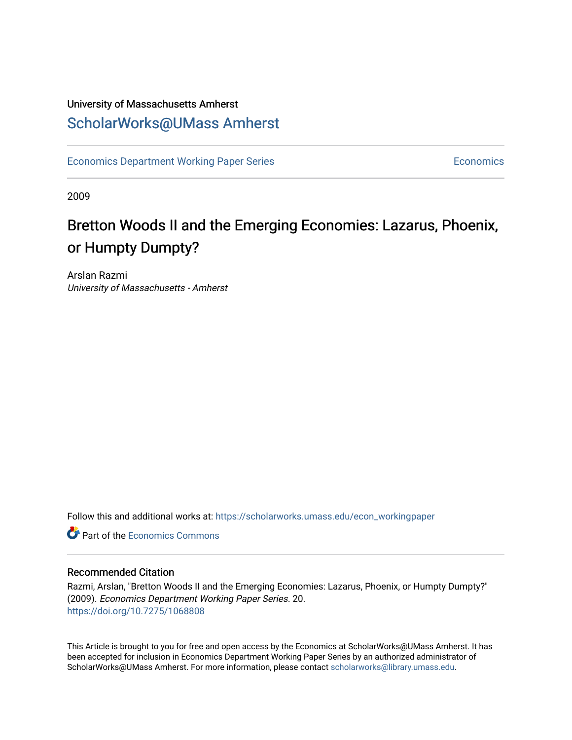## University of Massachusetts Amherst [ScholarWorks@UMass Amherst](https://scholarworks.umass.edu/)

[Economics Department Working Paper Series](https://scholarworks.umass.edu/econ_workingpaper) **Economics** Economics

2009

## Bretton Woods II and the Emerging Economies: Lazarus, Phoenix, or Humpty Dumpty?

Arslan Razmi University of Massachusetts - Amherst

Follow this and additional works at: [https://scholarworks.umass.edu/econ\\_workingpaper](https://scholarworks.umass.edu/econ_workingpaper?utm_source=scholarworks.umass.edu%2Fecon_workingpaper%2F20&utm_medium=PDF&utm_campaign=PDFCoverPages) 

**C** Part of the [Economics Commons](http://network.bepress.com/hgg/discipline/340?utm_source=scholarworks.umass.edu%2Fecon_workingpaper%2F20&utm_medium=PDF&utm_campaign=PDFCoverPages)

#### Recommended Citation

Razmi, Arslan, "Bretton Woods II and the Emerging Economies: Lazarus, Phoenix, or Humpty Dumpty?" (2009). Economics Department Working Paper Series. 20. <https://doi.org/10.7275/1068808>

This Article is brought to you for free and open access by the Economics at ScholarWorks@UMass Amherst. It has been accepted for inclusion in Economics Department Working Paper Series by an authorized administrator of ScholarWorks@UMass Amherst. For more information, please contact [scholarworks@library.umass.edu.](mailto:scholarworks@library.umass.edu)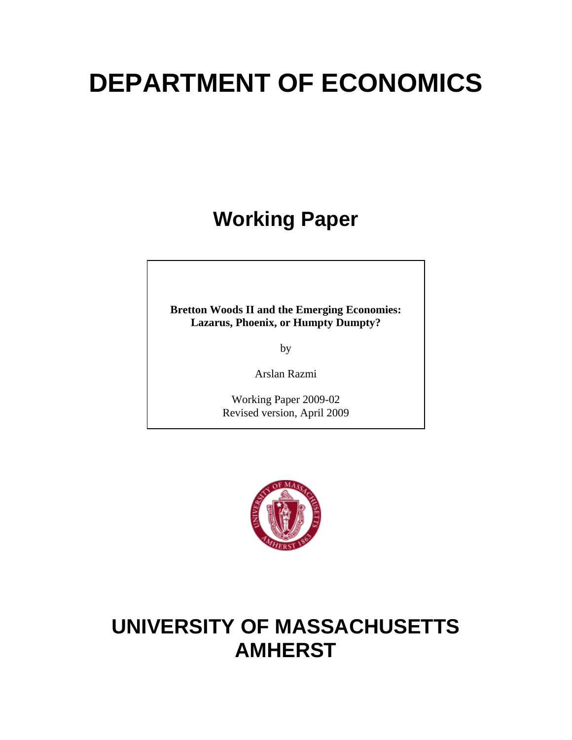# **DEPARTMENT OF ECONOMICS**

**Working Paper** 

**Bretton Woods II and the Emerging Economies: Lazarus, Phoenix, or Humpty Dumpty?** 

by

Arslan Razmi

Working Paper 2009-02 Revised version, April 2009



## **UNIVERSITY OF MASSACHUSETTS AMHERST**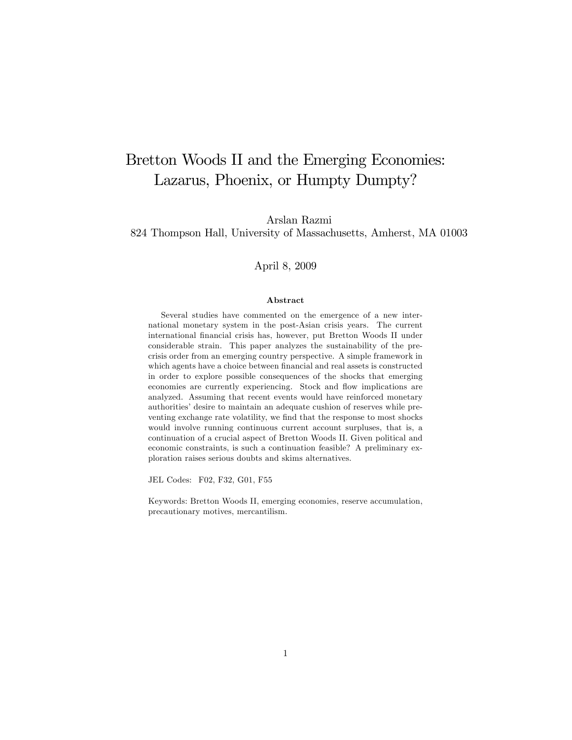## Bretton Woods II and the Emerging Economies: Lazarus, Phoenix, or Humpty Dumpty?

Arslan Razmi

824 Thompson Hall, University of Massachusetts, Amherst, MA 01003

#### April 8, 2009

#### Abstract

Several studies have commented on the emergence of a new international monetary system in the post-Asian crisis years. The current international Önancial crisis has, however, put Bretton Woods II under considerable strain. This paper analyzes the sustainability of the precrisis order from an emerging country perspective. A simple framework in which agents have a choice between financial and real assets is constructed in order to explore possible consequences of the shocks that emerging economies are currently experiencing. Stock and flow implications are analyzed. Assuming that recent events would have reinforced monetary authorities' desire to maintain an adequate cushion of reserves while preventing exchange rate volatility, we find that the response to most shocks would involve running continuous current account surpluses, that is, a continuation of a crucial aspect of Bretton Woods II. Given political and economic constraints, is such a continuation feasible? A preliminary exploration raises serious doubts and skims alternatives.

JEL Codes: F02, F32, G01, F55

Keywords: Bretton Woods II, emerging economies, reserve accumulation, precautionary motives, mercantilism.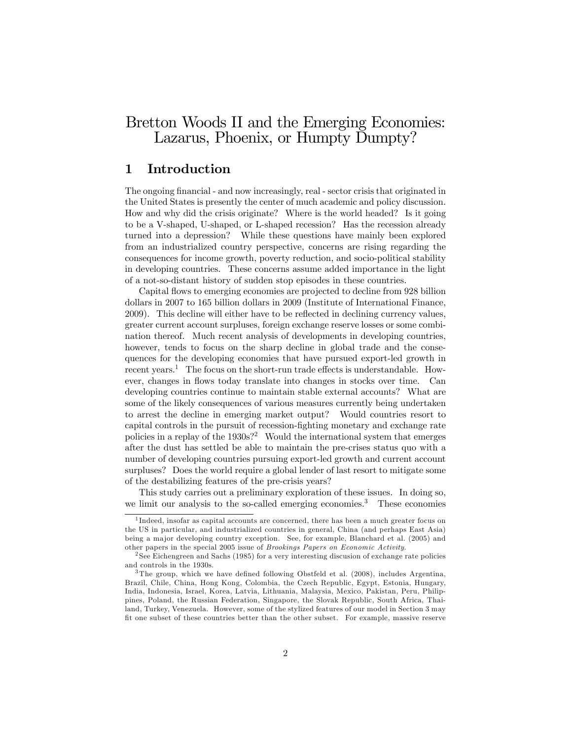## Bretton Woods II and the Emerging Economies: Lazarus, Phoenix, or Humpty Dumpty?

### 1 Introduction

The ongoing financial - and now increasingly, real - sector crisis that originated in the United States is presently the center of much academic and policy discussion. How and why did the crisis originate? Where is the world headed? Is it going to be a V-shaped, U-shaped, or L-shaped recession? Has the recession already turned into a depression? While these questions have mainly been explored from an industrialized country perspective, concerns are rising regarding the consequences for income growth, poverty reduction, and socio-political stability in developing countries. These concerns assume added importance in the light of a not-so-distant history of sudden stop episodes in these countries.

Capital flows to emerging economies are projected to decline from 928 billion dollars in 2007 to 165 billion dollars in 2009 (Institute of International Finance, 2009). This decline will either have to be reflected in declining currency values, greater current account surpluses, foreign exchange reserve losses or some combination thereof. Much recent analysis of developments in developing countries, however, tends to focus on the sharp decline in global trade and the consequences for the developing economies that have pursued export-led growth in recent years.<sup>1</sup> The focus on the short-run trade effects is understandable. However, changes in flows today translate into changes in stocks over time. Can developing countries continue to maintain stable external accounts? What are some of the likely consequences of various measures currently being undertaken to arrest the decline in emerging market output? Would countries resort to capital controls in the pursuit of recession-fighting monetary and exchange rate policies in a replay of the  $1930s$ ?<sup>2</sup> Would the international system that emerges after the dust has settled be able to maintain the pre-crises status quo with a number of developing countries pursuing export-led growth and current account surpluses? Does the world require a global lender of last resort to mitigate some of the destabilizing features of the pre-crisis years?

This study carries out a preliminary exploration of these issues. In doing so, we limit our analysis to the so-called emerging economies.<sup>3</sup> These economies

<sup>1</sup> Indeed, insofar as capital accounts are concerned, there has been a much greater focus on the US in particular, and industrialized countries in general, China (and perhaps East Asia) being a ma jor developing country exception. See, for example, Blanchard et al. (2005) and other papers in the special 2005 issue of Brookings Papers on Economic Activity.

<sup>&</sup>lt;sup>2</sup> See Eichengreen and Sachs (1985) for a very interesting discusion of exchange rate policies and controls in the 1930s.

 $3$ The group, which we have defined following Obstfeld et al. (2008), includes Argentina, Brazil, Chile, China, Hong Kong, Colombia, the Czech Republic, Egypt, Estonia, Hungary, India, Indonesia, Israel, Korea, Latvia, Lithuania, Malaysia, Mexico, Pakistan, Peru, Philippines, Poland, the Russian Federation, Singapore, the Slovak Republic, South Africa, Thailand, Turkey, Venezuela. However, some of the stylized features of our model in Section 3 may Öt one subset of these countries better than the other subset. For example, massive reserve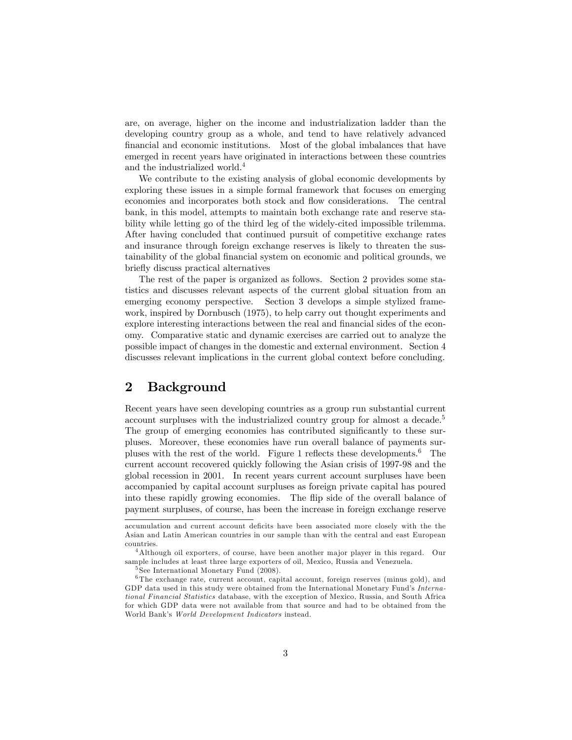are, on average, higher on the income and industrialization ladder than the developing country group as a whole, and tend to have relatively advanced financial and economic institutions. Most of the global imbalances that have emerged in recent years have originated in interactions between these countries and the industrialized world.<sup>4</sup>

We contribute to the existing analysis of global economic developments by exploring these issues in a simple formal framework that focuses on emerging economies and incorporates both stock and flow considerations. The central bank, in this model, attempts to maintain both exchange rate and reserve stability while letting go of the third leg of the widely-cited impossible trilemma. After having concluded that continued pursuit of competitive exchange rates and insurance through foreign exchange reserves is likely to threaten the sustainability of the global Önancial system on economic and political grounds, we briefly discuss practical alternatives

The rest of the paper is organized as follows. Section 2 provides some statistics and discusses relevant aspects of the current global situation from an emerging economy perspective. Section 3 develops a simple stylized framework, inspired by Dornbusch (1975), to help carry out thought experiments and explore interesting interactions between the real and financial sides of the economy. Comparative static and dynamic exercises are carried out to analyze the possible impact of changes in the domestic and external environment. Section 4 discusses relevant implications in the current global context before concluding.

## 2 Background

Recent years have seen developing countries as a group run substantial current account surpluses with the industrialized country group for almost a decade.<sup>5</sup> The group of emerging economies has contributed significantly to these surpluses. Moreover, these economies have run overall balance of payments surpluses with the rest of the world. Figure 1 reflects these developments.<sup>6</sup> The current account recovered quickly following the Asian crisis of 1997-98 and the global recession in 2001. In recent years current account surpluses have been accompanied by capital account surpluses as foreign private capital has poured into these rapidly growing economies. The flip side of the overall balance of payment surpluses, of course, has been the increase in foreign exchange reserve

accumulation and current account deficits have been associated more closely with the the Asian and Latin American countries in our sample than with the central and east European countries.

<sup>&</sup>lt;sup>4</sup>Although oil exporters, of course, have been another major player in this regard. Our sample includes at least three large exporters of oil, Mexico, Russia and Venezuela.

<sup>5</sup> See International Monetary Fund (2008).

<sup>6</sup> The exchange rate, current account, capital account, foreign reserves (minus gold), and GDP data used in this study were obtained from the International Monetary Fund's International Financial Statistics database, with the exception of Mexico, Russia, and South Africa for which GDP data were not available from that source and had to be obtained from the World Bank's World Development Indicators instead.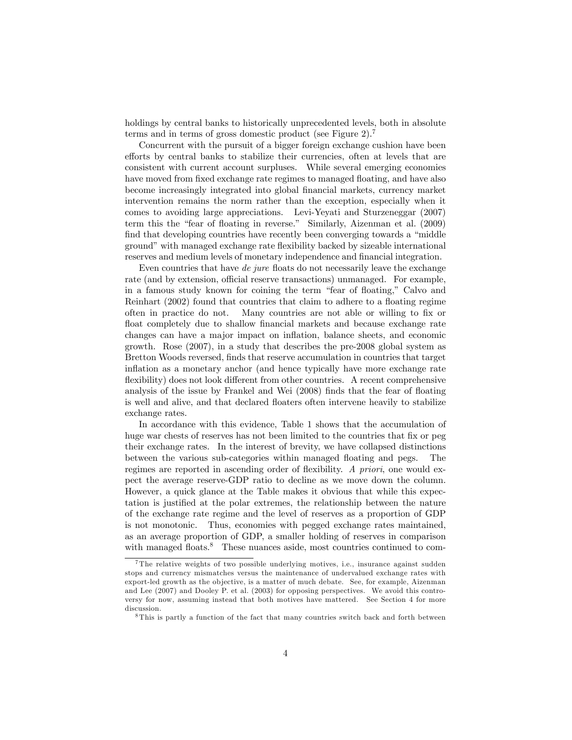holdings by central banks to historically unprecedented levels, both in absolute terms and in terms of gross domestic product (see Figure 2).<sup>7</sup>

Concurrent with the pursuit of a bigger foreign exchange cushion have been efforts by central banks to stabilize their currencies, often at levels that are consistent with current account surpluses. While several emerging economies have moved from fixed exchange rate regimes to managed floating, and have also become increasingly integrated into global Önancial markets, currency market intervention remains the norm rather than the exception, especially when it comes to avoiding large appreciations. Levi-Yeyati and Sturzeneggar (2007) term this the "fear of floating in reverse." Similarly, Aizenman et al. (2009) find that developing countries have recently been converging towards a "middle ground" with managed exchange rate flexibility backed by sizeable international reserves and medium levels of monetary independence and financial integration.

Even countries that have de jure floats do not necessarily leave the exchange rate (and by extension, official reserve transactions) unmanaged. For example, in a famous study known for coining the term "fear of floating," Calvo and Reinhart (2002) found that countries that claim to adhere to a floating regime often in practice do not. Many countries are not able or willing to fix or float completely due to shallow financial markets and because exchange rate changes can have a major impact on ináation, balance sheets, and economic growth. Rose (2007), in a study that describes the pre-2008 global system as Bretton Woods reversed, Önds that reserve accumulation in countries that target inflation as a monetary anchor (and hence typically have more exchange rate flexibility) does not look different from other countries. A recent comprehensive analysis of the issue by Frankel and Wei (2008) finds that the fear of floating is well and alive, and that declared floaters often intervene heavily to stabilize exchange rates.

In accordance with this evidence, Table 1 shows that the accumulation of huge war chests of reserves has not been limited to the countries that fix or peg their exchange rates. In the interest of brevity, we have collapsed distinctions between the various sub-categories within managed floating and pegs. The regimes are reported in ascending order of flexibility. A priori, one would expect the average reserve-GDP ratio to decline as we move down the column. However, a quick glance at the Table makes it obvious that while this expectation is justified at the polar extremes, the relationship between the nature of the exchange rate regime and the level of reserves as a proportion of GDP is not monotonic. Thus, economies with pegged exchange rates maintained, as an average proportion of GDP, a smaller holding of reserves in comparison with managed floats.<sup>8</sup> These nuances aside, most countries continued to com-

<sup>&</sup>lt;sup>7</sup>The relative weights of two possible underlying motives, i.e., insurance against sudden stops and currency mismatches versus the maintenance of undervalued exchange rates with export-led growth as the objective, is a matter of much debate. See, for example, Aizenman and Lee (2007) and Dooley P. et al. (2003) for opposing perspectives. We avoid this controversy for now, assuming instead that both motives have mattered. See Section 4 for more discussion.

<sup>8</sup> This is partly a function of the fact that many countries switch back and forth between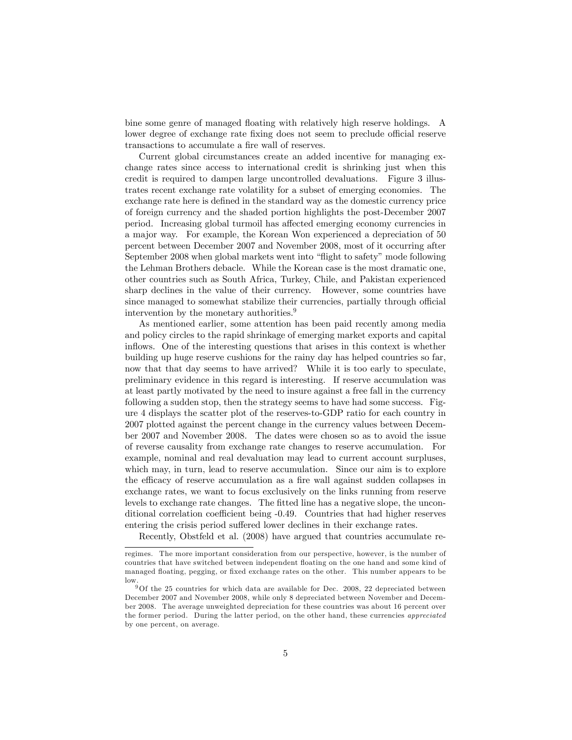bine some genre of managed floating with relatively high reserve holdings. A lower degree of exchange rate fixing does not seem to preclude official reserve transactions to accumulate a fire wall of reserves.

Current global circumstances create an added incentive for managing exchange rates since access to international credit is shrinking just when this credit is required to dampen large uncontrolled devaluations. Figure 3 illustrates recent exchange rate volatility for a subset of emerging economies. The exchange rate here is defined in the standard way as the domestic currency price of foreign currency and the shaded portion highlights the post-December 2007 period. Increasing global turmoil has affected emerging economy currencies in a major way. For example, the Korean Won experienced a depreciation of 50 percent between December 2007 and November 2008, most of it occurring after September 2008 when global markets went into "flight to safety" mode following the Lehman Brothers debacle. While the Korean case is the most dramatic one, other countries such as South Africa, Turkey, Chile, and Pakistan experienced sharp declines in the value of their currency. However, some countries have since managed to somewhat stabilize their currencies, partially through official intervention by the monetary authorities.<sup>9</sup>

As mentioned earlier, some attention has been paid recently among media and policy circles to the rapid shrinkage of emerging market exports and capital inflows. One of the interesting questions that arises in this context is whether building up huge reserve cushions for the rainy day has helped countries so far, now that that day seems to have arrived? While it is too early to speculate, preliminary evidence in this regard is interesting. If reserve accumulation was at least partly motivated by the need to insure against a free fall in the currency following a sudden stop, then the strategy seems to have had some success. Figure 4 displays the scatter plot of the reserves-to-GDP ratio for each country in 2007 plotted against the percent change in the currency values between December 2007 and November 2008. The dates were chosen so as to avoid the issue of reverse causality from exchange rate changes to reserve accumulation. For example, nominal and real devaluation may lead to current account surpluses, which may, in turn, lead to reserve accumulation. Since our aim is to explore the efficacy of reserve accumulation as a fire wall against sudden collapses in exchange rates, we want to focus exclusively on the links running from reserve levels to exchange rate changes. The fitted line has a negative slope, the unconditional correlation coefficient being -0.49. Countries that had higher reserves entering the crisis period suffered lower declines in their exchange rates.

Recently, Obstfeld et al. (2008) have argued that countries accumulate re-

regimes. The more important consideration from our perspective, however, is the number of countries that have switched between independent floating on the one hand and some kind of managed floating, pegging, or fixed exchange rates on the other. This number appears to be low.

 $9$ Of the 25 countries for which data are available for Dec. 2008, 22 depreciated between December 2007 and November 2008, while only 8 depreciated between November and December 2008. The average unweighted depreciation for these countries was about 16 percent over the former period. During the latter period, on the other hand, these currencies appreciated by one percent, on average.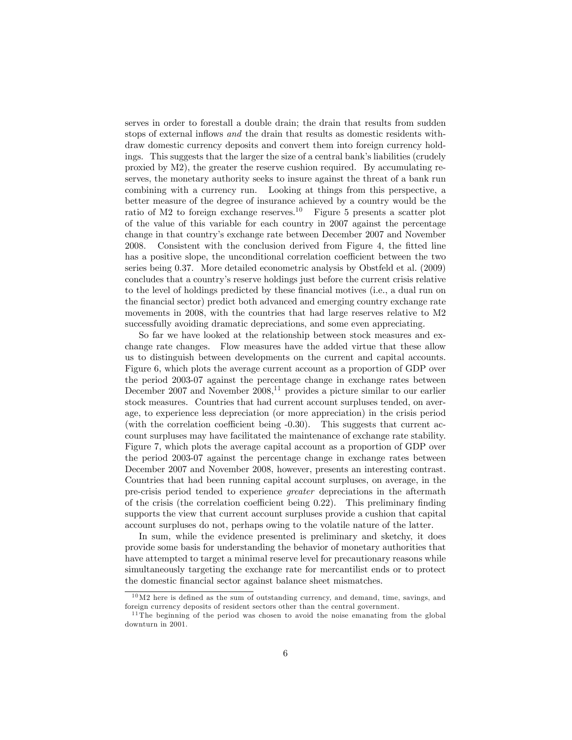serves in order to forestall a double drain; the drain that results from sudden stops of external inflows and the drain that results as domestic residents withdraw domestic currency deposits and convert them into foreign currency holdings. This suggests that the larger the size of a central bank's liabilities (crudely proxied by M2), the greater the reserve cushion required. By accumulating reserves, the monetary authority seeks to insure against the threat of a bank run combining with a currency run. Looking at things from this perspective, a better measure of the degree of insurance achieved by a country would be the ratio of M2 to foreign exchange reserves.<sup>10</sup> Figure 5 presents a scatter plot of the value of this variable for each country in 2007 against the percentage change in that countryís exchange rate between December 2007 and November 2008. Consistent with the conclusion derived from Figure 4, the fitted line has a positive slope, the unconditional correlation coefficient between the two series being 0.37. More detailed econometric analysis by Obstfeld et al. (2009) concludes that a countryís reserve holdings just before the current crisis relative to the level of holdings predicted by these financial motives (i.e., a dual run on the Önancial sector) predict both advanced and emerging country exchange rate movements in 2008, with the countries that had large reserves relative to M2 successfully avoiding dramatic depreciations, and some even appreciating.

So far we have looked at the relationship between stock measures and exchange rate changes. Flow measures have the added virtue that these allow us to distinguish between developments on the current and capital accounts. Figure 6, which plots the average current account as a proportion of GDP over the period 2003-07 against the percentage change in exchange rates between December 2007 and November  $2008$ ,<sup>11</sup> provides a picture similar to our earlier stock measures. Countries that had current account surpluses tended, on average, to experience less depreciation (or more appreciation) in the crisis period (with the correlation coefficient being  $-0.30$ ). This suggests that current account surpluses may have facilitated the maintenance of exchange rate stability. Figure 7, which plots the average capital account as a proportion of GDP over the period 2003-07 against the percentage change in exchange rates between December 2007 and November 2008, however, presents an interesting contrast. Countries that had been running capital account surpluses, on average, in the pre-crisis period tended to experience greater depreciations in the aftermath of the crisis (the correlation coefficient being  $(0.22)$ . This preliminary finding supports the view that current account surpluses provide a cushion that capital account surpluses do not, perhaps owing to the volatile nature of the latter.

In sum, while the evidence presented is preliminary and sketchy, it does provide some basis for understanding the behavior of monetary authorities that have attempted to target a minimal reserve level for precautionary reasons while simultaneously targeting the exchange rate for mercantilist ends or to protect the domestic financial sector against balance sheet mismatches.

 $10\,\text{M2}$  here is defined as the sum of outstanding currency, and demand, time, savings, and foreign currency deposits of resident sectors other than the central government.

 $11$ The beginning of the period was chosen to avoid the noise emanating from the global downturn in 2001.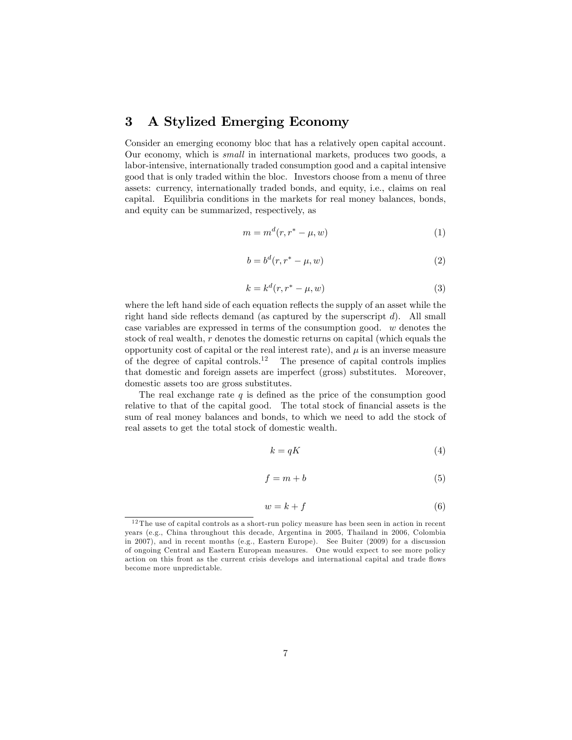### 3 A Stylized Emerging Economy

Consider an emerging economy bloc that has a relatively open capital account. Our economy, which is small in international markets, produces two goods, a labor-intensive, internationally traded consumption good and a capital intensive good that is only traded within the bloc. Investors choose from a menu of three assets: currency, internationally traded bonds, and equity, i.e., claims on real capital. Equilibria conditions in the markets for real money balances, bonds, and equity can be summarized, respectively, as

$$
m = md(r, r^* - \mu, w)
$$
 (1)

$$
b = bd(r, r^* - \mu, w)
$$
 (2)

$$
k = kd(r, r^* - \mu, w)
$$
 (3)

where the left hand side of each equation reflects the supply of an asset while the right hand side reflects demand (as captured by the superscript  $d$ ). All small case variables are expressed in terms of the consumption good. w denotes the stock of real wealth, r denotes the domestic returns on capital (which equals the opportunity cost of capital or the real interest rate), and  $\mu$  is an inverse measure of the degree of capital controls.<sup>12</sup> The presence of capital controls implies that domestic and foreign assets are imperfect (gross) substitutes. Moreover, domestic assets too are gross substitutes.

The real exchange rate  $q$  is defined as the price of the consumption good relative to that of the capital good. The total stock of financial assets is the sum of real money balances and bonds, to which we need to add the stock of real assets to get the total stock of domestic wealth.

$$
k = qK \tag{4}
$$

$$
f = m + b \tag{5}
$$

$$
w = k + f \tag{6}
$$

 $12$  The use of capital controls as a short-run policy measure has been seen in action in recent years (e.g., China throughout this decade, Argentina in 2005, Thailand in 2006, Colombia in 2007), and in recent months (e.g., Eastern Europe). See Buiter (2009) for a discussion of ongoing Central and Eastern European measures. One would expect to see more policy action on this front as the current crisis develops and international capital and trade flows become more unpredictable.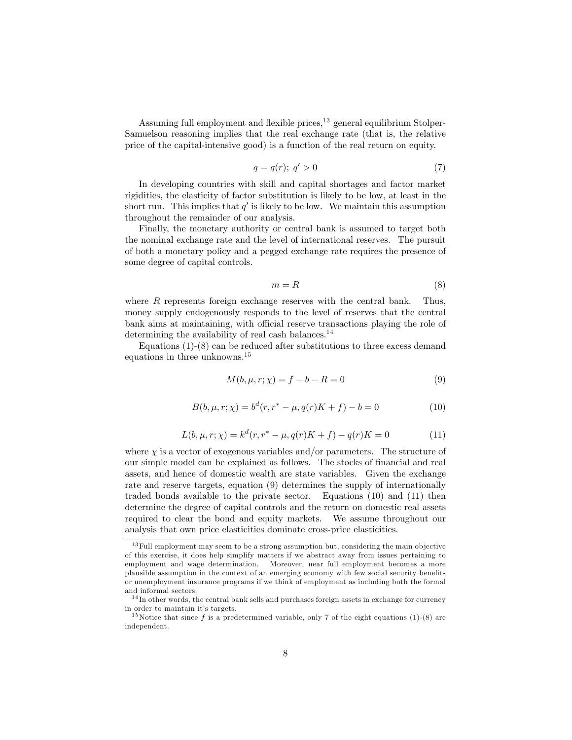Assuming full employment and flexible prices,<sup>13</sup> general equilibrium Stolper-Samuelson reasoning implies that the real exchange rate (that is, the relative price of the capital-intensive good) is a function of the real return on equity.

$$
q = q(r); \ q' > 0 \tag{7}
$$

In developing countries with skill and capital shortages and factor market rigidities, the elasticity of factor substitution is likely to be low, at least in the short run. This implies that  $q'$  is likely to be low. We maintain this assumption throughout the remainder of our analysis.

Finally, the monetary authority or central bank is assumed to target both the nominal exchange rate and the level of international reserves. The pursuit of both a monetary policy and a pegged exchange rate requires the presence of some degree of capital controls.

$$
m = R \tag{8}
$$

where R represents foreign exchange reserves with the central bank. Thus, money supply endogenously responds to the level of reserves that the central bank aims at maintaining, with official reserve transactions playing the role of determining the availability of real cash balances. $^{14}$ 

Equations (1)-(8) can be reduced after substitutions to three excess demand equations in three unknowns.<sup>15</sup>

$$
M(b, \mu, r; \chi) = f - b - R = 0 \tag{9}
$$

$$
B(b, \mu, r; \chi) = b^{d}(r, r^{*} - \mu, q(r)K + f) - b = 0
$$
\n(10)

$$
L(b, \mu, r; \chi) = k^{d}(r, r^{*} - \mu, q(r)K + f) - q(r)K = 0
$$
\n(11)

where  $\chi$  is a vector of exogenous variables and/or parameters. The structure of our simple model can be explained as follows. The stocks of financial and real assets, and hence of domestic wealth are state variables. Given the exchange rate and reserve targets, equation (9) determines the supply of internationally traded bonds available to the private sector. Equations (10) and (11) then determine the degree of capital controls and the return on domestic real assets required to clear the bond and equity markets. We assume throughout our analysis that own price elasticities dominate cross-price elasticities.

 $13$  Full employment may seem to be a strong assumption but, considering the main objective of this exercise, it does help simplify matters if we abstract away from issues pertaining to employment and wage determination. Moreover, near full employment becomes a more plausible assumption in the context of an emerging economy with few social security benefits or unemployment insurance programs if we think of employment as including both the formal and informal sectors.

<sup>&</sup>lt;sup>14</sup>In other words, the central bank sells and purchases foreign assets in exchange for currency in order to maintain it's targets.

<sup>&</sup>lt;sup>15</sup> Notice that since f is a predetermined variable, only 7 of the eight equations (1)-(8) are independent.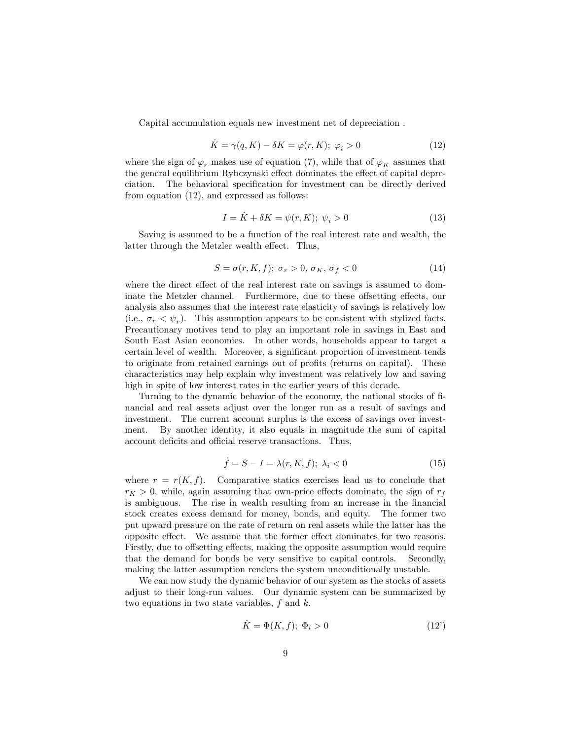Capital accumulation equals new investment net of depreciation .

$$
\dot{K} = \gamma(q, K) - \delta K = \varphi(r, K); \ \varphi_i > 0 \tag{12}
$$

where the sign of  $\varphi_r$  makes use of equation (7), while that of  $\varphi_K$  assumes that the general equilibrium Rybczynski effect dominates the effect of capital depreciation. The behavioral specification for investment can be directly derived from equation (12), and expressed as follows:

$$
I = \dot{K} + \delta K = \psi(r, K); \ \psi_i > 0 \tag{13}
$$

Saving is assumed to be a function of the real interest rate and wealth, the latter through the Metzler wealth effect. Thus,

$$
S = \sigma(r, K, f); \ \sigma_r > 0, \ \sigma_K, \ \sigma_f < 0 \tag{14}
$$

where the direct effect of the real interest rate on savings is assumed to dominate the Metzler channel. Furthermore, due to these offsetting effects, our analysis also assumes that the interest rate elasticity of savings is relatively low (i.e.,  $\sigma_r < \psi_r$ ). This assumption appears to be consistent with stylized facts. Precautionary motives tend to play an important role in savings in East and South East Asian economies. In other words, households appear to target a certain level of wealth. Moreover, a significant proportion of investment tends to originate from retained earnings out of profits (returns on capital). These characteristics may help explain why investment was relatively low and saving high in spite of low interest rates in the earlier years of this decade.

Turning to the dynamic behavior of the economy, the national stocks of Önancial and real assets adjust over the longer run as a result of savings and investment. The current account surplus is the excess of savings over investment. By another identity, it also equals in magnitude the sum of capital account deficits and official reserve transactions. Thus,

$$
\dot{f} = S - I = \lambda(r, K, f); \ \lambda_i < 0 \tag{15}
$$

where  $r = r(K, f)$ . Comparative statics exercises lead us to conclude that  $r_K > 0$ , while, again assuming that own-price effects dominate, the sign of  $r_f$ is ambiguous. The rise in wealth resulting from an increase in the financial stock creates excess demand for money, bonds, and equity. The former two put upward pressure on the rate of return on real assets while the latter has the opposite effect. We assume that the former effect dominates for two reasons. Firstly, due to offsetting effects, making the opposite assumption would require that the demand for bonds be very sensitive to capital controls. Secondly, making the latter assumption renders the system unconditionally unstable.

We can now study the dynamic behavior of our system as the stocks of assets adjust to their long-run values. Our dynamic system can be summarized by two equations in two state variables,  $f$  and  $k$ .

$$
\dot{K} = \Phi(K, f); \ \Phi_i > 0 \tag{12'}
$$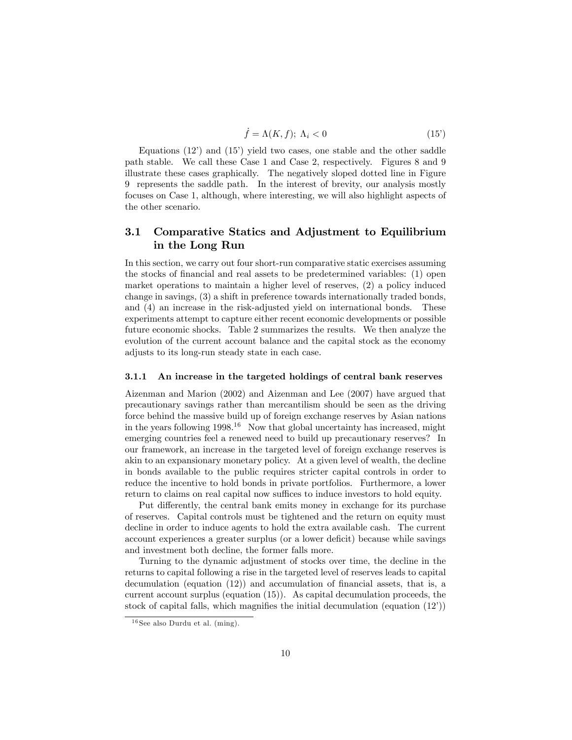$$
\dot{f} = \Lambda(K, f); \ \Lambda_i < 0 \tag{15'}
$$

Equations  $(12)$  and  $(15)$  yield two cases, one stable and the other saddle path stable. We call these Case 1 and Case 2, respectively. Figures 8 and 9 illustrate these cases graphically. The negatively sloped dotted line in Figure 9 represents the saddle path. In the interest of brevity, our analysis mostly focuses on Case 1, although, where interesting, we will also highlight aspects of the other scenario.

#### 3.1 Comparative Statics and Adjustment to Equilibrium in the Long Run

In this section, we carry out four short-run comparative static exercises assuming the stocks of financial and real assets to be predetermined variables: (1) open market operations to maintain a higher level of reserves, (2) a policy induced change in savings, (3) a shift in preference towards internationally traded bonds, and (4) an increase in the risk-adjusted yield on international bonds. These experiments attempt to capture either recent economic developments or possible future economic shocks. Table 2 summarizes the results. We then analyze the evolution of the current account balance and the capital stock as the economy adjusts to its long-run steady state in each case.

#### 3.1.1 An increase in the targeted holdings of central bank reserves

Aizenman and Marion (2002) and Aizenman and Lee (2007) have argued that precautionary savings rather than mercantilism should be seen as the driving force behind the massive build up of foreign exchange reserves by Asian nations in the years following  $1998<sup>16</sup>$  Now that global uncertainty has increased, might emerging countries feel a renewed need to build up precautionary reserves? In our framework, an increase in the targeted level of foreign exchange reserves is akin to an expansionary monetary policy. At a given level of wealth, the decline in bonds available to the public requires stricter capital controls in order to reduce the incentive to hold bonds in private portfolios. Furthermore, a lower return to claims on real capital now suffices to induce investors to hold equity.

Put differently, the central bank emits money in exchange for its purchase of reserves. Capital controls must be tightened and the return on equity must decline in order to induce agents to hold the extra available cash. The current account experiences a greater surplus (or a lower deficit) because while savings and investment both decline, the former falls more.

Turning to the dynamic adjustment of stocks over time, the decline in the returns to capital following a rise in the targeted level of reserves leads to capital decumulation (equation  $(12)$ ) and accumulation of financial assets, that is, a current account surplus (equation (15)). As capital decumulation proceeds, the stock of capital falls, which magnifies the initial decumulation (equation  $(12<sup>i</sup>)$ )

 $16$  See also Durdu et al. (ming).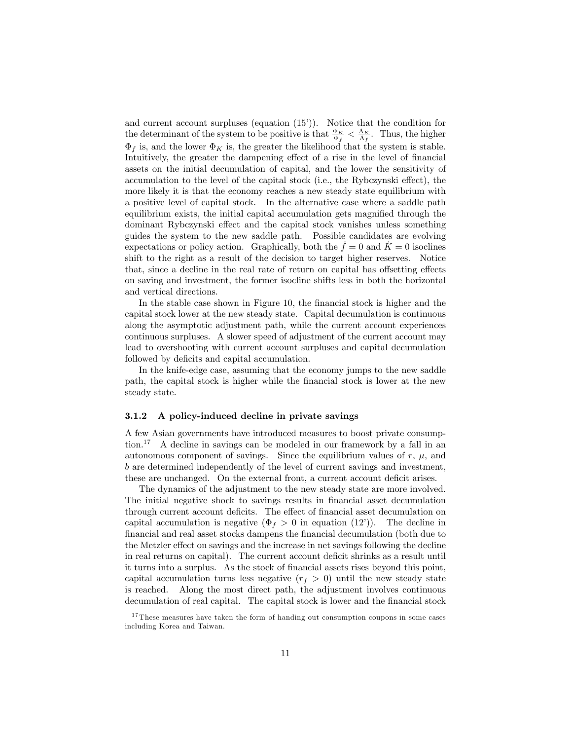and current account surpluses (equation  $(15')$ ). Notice that the condition for the determinant of the system to be positive is that  $\frac{\Phi_K}{\Phi_f} < \frac{\Lambda_K}{\Lambda_f}$ . Thus, the higher  $\Phi_f$  is, and the lower  $\Phi_K$  is, the greater the likelihood that the system is stable. Intuitively, the greater the dampening effect of a rise in the level of financial assets on the initial decumulation of capital, and the lower the sensitivity of accumulation to the level of the capital stock (i.e., the Rybczynski effect), the more likely it is that the economy reaches a new steady state equilibrium with a positive level of capital stock. In the alternative case where a saddle path equilibrium exists, the initial capital accumulation gets magnified through the dominant Rybczynski effect and the capital stock vanishes unless something guides the system to the new saddle path. Possible candidates are evolving expectations or policy action. Graphically, both the  $\dot{f} = 0$  and  $\dot{K} = 0$  isoclines shift to the right as a result of the decision to target higher reserves. Notice that, since a decline in the real rate of return on capital has offsetting effects on saving and investment, the former isocline shifts less in both the horizontal and vertical directions.

In the stable case shown in Figure 10, the financial stock is higher and the capital stock lower at the new steady state. Capital decumulation is continuous along the asymptotic adjustment path, while the current account experiences continuous surpluses. A slower speed of adjustment of the current account may lead to overshooting with current account surpluses and capital decumulation followed by deficits and capital accumulation.

In the knife-edge case, assuming that the economy jumps to the new saddle path, the capital stock is higher while the Önancial stock is lower at the new steady state.

#### 3.1.2 A policy-induced decline in private savings

A few Asian governments have introduced measures to boost private consumption.<sup>17</sup> A decline in savings can be modeled in our framework by a fall in an autonomous component of savings. Since the equilibrium values of  $r, \mu$ , and b are determined independently of the level of current savings and investment, these are unchanged. On the external front, a current account deficit arises.

The dynamics of the adjustment to the new steady state are more involved. The initial negative shock to savings results in Önancial asset decumulation through current account deficits. The effect of financial asset decumulation on capital accumulation is negative  $(\Phi_f > 0$  in equation (12<sup>*i*</sup>)). The decline in Önancial and real asset stocks dampens the Önancial decumulation (both due to the Metzler effect on savings and the increase in net savings following the decline in real returns on capital). The current account deficit shrinks as a result until it turns into a surplus. As the stock of financial assets rises beyond this point, capital accumulation turns less negative  $(r_f > 0)$  until the new steady state is reached. Along the most direct path, the adjustment involves continuous decumulation of real capital. The capital stock is lower and the financial stock

 $17$  These measures have taken the form of handing out consumption coupons in some cases including Korea and Taiwan.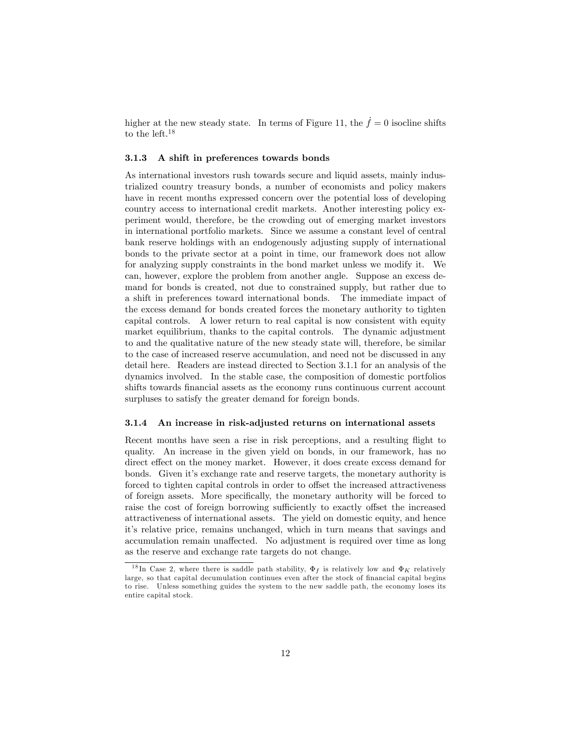higher at the new steady state. In terms of Figure 11, the  $\dot{f} = 0$  isocline shifts to the left.<sup>18</sup>

#### 3.1.3 A shift in preferences towards bonds

As international investors rush towards secure and liquid assets, mainly industrialized country treasury bonds, a number of economists and policy makers have in recent months expressed concern over the potential loss of developing country access to international credit markets. Another interesting policy experiment would, therefore, be the crowding out of emerging market investors in international portfolio markets. Since we assume a constant level of central bank reserve holdings with an endogenously adjusting supply of international bonds to the private sector at a point in time, our framework does not allow for analyzing supply constraints in the bond market unless we modify it. We can, however, explore the problem from another angle. Suppose an excess demand for bonds is created, not due to constrained supply, but rather due to a shift in preferences toward international bonds. The immediate impact of the excess demand for bonds created forces the monetary authority to tighten capital controls. A lower return to real capital is now consistent with equity market equilibrium, thanks to the capital controls. The dynamic adjustment to and the qualitative nature of the new steady state will, therefore, be similar to the case of increased reserve accumulation, and need not be discussed in any detail here. Readers are instead directed to Section 3.1.1 for an analysis of the dynamics involved. In the stable case, the composition of domestic portfolios shifts towards financial assets as the economy runs continuous current account surpluses to satisfy the greater demand for foreign bonds.

#### 3.1.4 An increase in risk-adjusted returns on international assets

Recent months have seen a rise in risk perceptions, and a resulting flight to quality. An increase in the given yield on bonds, in our framework, has no direct effect on the money market. However, it does create excess demand for bonds. Given itís exchange rate and reserve targets, the monetary authority is forced to tighten capital controls in order to offset the increased attractiveness of foreign assets. More specifically, the monetary authority will be forced to raise the cost of foreign borrowing sufficiently to exactly offset the increased attractiveness of international assets. The yield on domestic equity, and hence it's relative price, remains unchanged, which in turn means that savings and accumulation remain unaffected. No adjustment is required over time as long as the reserve and exchange rate targets do not change.

<sup>&</sup>lt;sup>18</sup>In Case 2, where there is saddle path stability,  $\Phi_f$  is relatively low and  $\Phi_K$  relatively large, so that capital decumulation continues even after the stock of financial capital begins to rise. Unless something guides the system to the new saddle path, the economy loses its entire capital stock.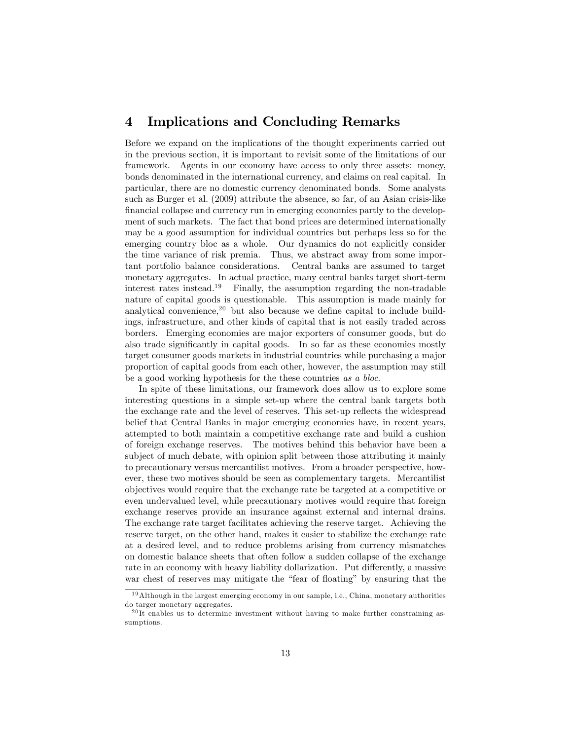### 4 Implications and Concluding Remarks

Before we expand on the implications of the thought experiments carried out in the previous section, it is important to revisit some of the limitations of our framework. Agents in our economy have access to only three assets: money, bonds denominated in the international currency, and claims on real capital. In particular, there are no domestic currency denominated bonds. Some analysts such as Burger et al. (2009) attribute the absence, so far, of an Asian crisis-like financial collapse and currency run in emerging economies partly to the development of such markets. The fact that bond prices are determined internationally may be a good assumption for individual countries but perhaps less so for the emerging country bloc as a whole. Our dynamics do not explicitly consider the time variance of risk premia. Thus, we abstract away from some important portfolio balance considerations. Central banks are assumed to target monetary aggregates. In actual practice, many central banks target short-term interest rates instead.<sup>19</sup> Finally, the assumption regarding the non-tradable nature of capital goods is questionable. This assumption is made mainly for analytical convenience,<sup>20</sup> but also because we define capital to include buildings, infrastructure, and other kinds of capital that is not easily traded across borders. Emerging economies are major exporters of consumer goods, but do also trade significantly in capital goods. In so far as these economies mostly target consumer goods markets in industrial countries while purchasing a major proportion of capital goods from each other, however, the assumption may still be a good working hypothesis for the these countries as a bloc.

In spite of these limitations, our framework does allow us to explore some interesting questions in a simple set-up where the central bank targets both the exchange rate and the level of reserves. This set-up reflects the widespread belief that Central Banks in major emerging economies have, in recent years, attempted to both maintain a competitive exchange rate and build a cushion of foreign exchange reserves. The motives behind this behavior have been a subject of much debate, with opinion split between those attributing it mainly to precautionary versus mercantilist motives. From a broader perspective, however, these two motives should be seen as complementary targets. Mercantilist objectives would require that the exchange rate be targeted at a competitive or even undervalued level, while precautionary motives would require that foreign exchange reserves provide an insurance against external and internal drains. The exchange rate target facilitates achieving the reserve target. Achieving the reserve target, on the other hand, makes it easier to stabilize the exchange rate at a desired level, and to reduce problems arising from currency mismatches on domestic balance sheets that often follow a sudden collapse of the exchange rate in an economy with heavy liability dollarization. Put differently, a massive war chest of reserves may mitigate the "fear of floating" by ensuring that the

 $19$ Although in the largest emerging economy in our sample, i.e., China, monetary authorities do targer monetary aggregates.

 $^{20}$ It enables us to determine investment without having to make further constraining assumptions.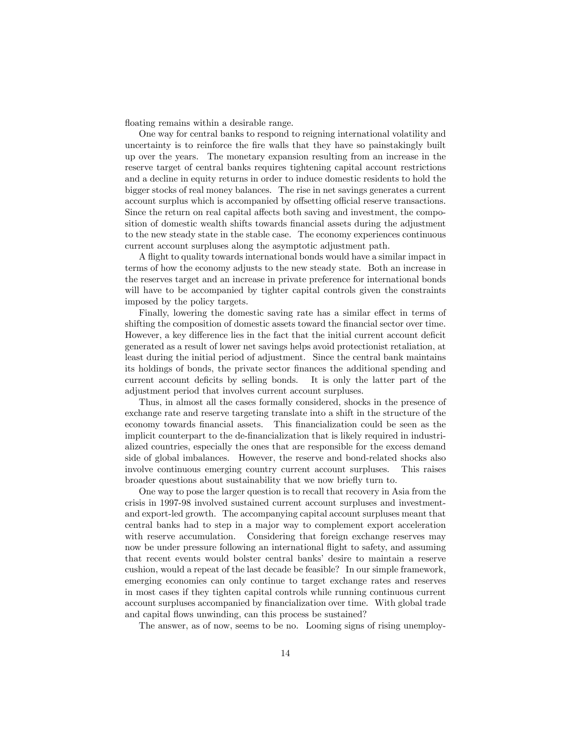floating remains within a desirable range.

One way for central banks to respond to reigning international volatility and uncertainty is to reinforce the Öre walls that they have so painstakingly built up over the years. The monetary expansion resulting from an increase in the reserve target of central banks requires tightening capital account restrictions and a decline in equity returns in order to induce domestic residents to hold the bigger stocks of real money balances. The rise in net savings generates a current account surplus which is accompanied by offsetting official reserve transactions. Since the return on real capital affects both saving and investment, the composition of domestic wealth shifts towards financial assets during the adjustment to the new steady state in the stable case. The economy experiences continuous current account surpluses along the asymptotic adjustment path.

A áight to quality towards international bonds would have a similar impact in terms of how the economy adjusts to the new steady state. Both an increase in the reserves target and an increase in private preference for international bonds will have to be accompanied by tighter capital controls given the constraints imposed by the policy targets.

Finally, lowering the domestic saving rate has a similar effect in terms of shifting the composition of domestic assets toward the financial sector over time. However, a key difference lies in the fact that the initial current account deficit generated as a result of lower net savings helps avoid protectionist retaliation, at least during the initial period of adjustment. Since the central bank maintains its holdings of bonds, the private sector finances the additional spending and current account deficits by selling bonds. It is only the latter part of the adjustment period that involves current account surpluses.

Thus, in almost all the cases formally considered, shocks in the presence of exchange rate and reserve targeting translate into a shift in the structure of the economy towards Önancial assets. This Önancialization could be seen as the implicit counterpart to the de-Önancialization that is likely required in industrialized countries, especially the ones that are responsible for the excess demand side of global imbalances. However, the reserve and bond-related shocks also involve continuous emerging country current account surpluses. This raises broader questions about sustainability that we now briefly turn to.

One way to pose the larger question is to recall that recovery in Asia from the crisis in 1997-98 involved sustained current account surpluses and investmentand export-led growth. The accompanying capital account surpluses meant that central banks had to step in a major way to complement export acceleration with reserve accumulation. Considering that foreign exchange reserves may now be under pressure following an international áight to safety, and assuming that recent events would bolster central banks' desire to maintain a reserve cushion, would a repeat of the last decade be feasible? In our simple framework, emerging economies can only continue to target exchange rates and reserves in most cases if they tighten capital controls while running continuous current account surpluses accompanied by Önancialization over time. With global trade and capital flows unwinding, can this process be sustained?

The answer, as of now, seems to be no. Looming signs of rising unemploy-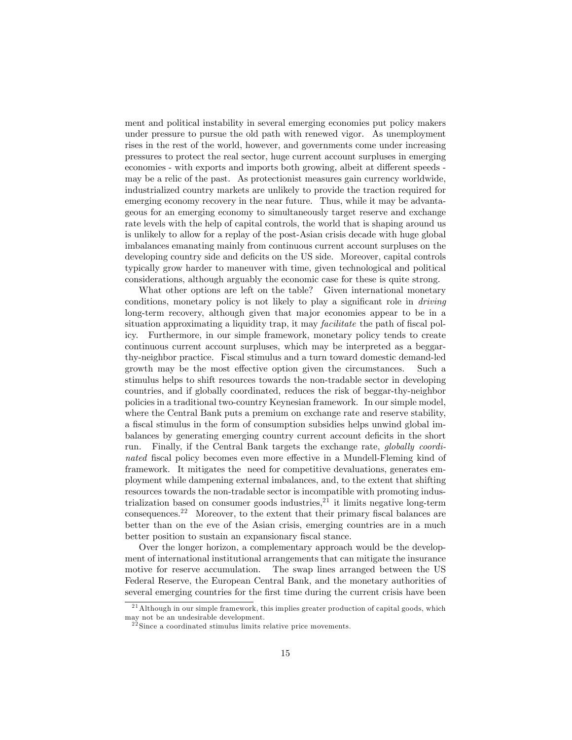ment and political instability in several emerging economies put policy makers under pressure to pursue the old path with renewed vigor. As unemployment rises in the rest of the world, however, and governments come under increasing pressures to protect the real sector, huge current account surpluses in emerging economies - with exports and imports both growing, albeit at different speeds may be a relic of the past. As protectionist measures gain currency worldwide, industrialized country markets are unlikely to provide the traction required for emerging economy recovery in the near future. Thus, while it may be advantageous for an emerging economy to simultaneously target reserve and exchange rate levels with the help of capital controls, the world that is shaping around us is unlikely to allow for a replay of the post-Asian crisis decade with huge global imbalances emanating mainly from continuous current account surpluses on the developing country side and deficits on the US side. Moreover, capital controls typically grow harder to maneuver with time, given technological and political considerations, although arguably the economic case for these is quite strong.

What other options are left on the table? Given international monetary conditions, monetary policy is not likely to play a significant role in *driving* long-term recovery, although given that major economies appear to be in a situation approximating a liquidity trap, it may *facilitate* the path of fiscal policy. Furthermore, in our simple framework, monetary policy tends to create continuous current account surpluses, which may be interpreted as a beggarthy-neighbor practice. Fiscal stimulus and a turn toward domestic demand-led growth may be the most effective option given the circumstances. Such a stimulus helps to shift resources towards the non-tradable sector in developing countries, and if globally coordinated, reduces the risk of beggar-thy-neighbor policies in a traditional two-country Keynesian framework. In our simple model, where the Central Bank puts a premium on exchange rate and reserve stability, a fiscal stimulus in the form of consumption subsidies helps unwind global imbalances by generating emerging country current account deficits in the short run. Finally, if the Central Bank targets the exchange rate, globally coordinated fiscal policy becomes even more effective in a Mundell-Fleming kind of framework. It mitigates the need for competitive devaluations, generates employment while dampening external imbalances, and, to the extent that shifting resources towards the non-tradable sector is incompatible with promoting industrialization based on consumer goods industries, $^{21}$  it limits negative long-term consequences.<sup>22</sup> Moreover, to the extent that their primary fiscal balances are better than on the eve of the Asian crisis, emerging countries are in a much better position to sustain an expansionary fiscal stance.

Over the longer horizon, a complementary approach would be the development of international institutional arrangements that can mitigate the insurance motive for reserve accumulation. The swap lines arranged between the US Federal Reserve, the European Central Bank, and the monetary authorities of several emerging countries for the first time during the current crisis have been

<sup>&</sup>lt;sup>21</sup> Although in our simple framework, this implies greater production of capital goods, which may not be an undesirable development.

 $2^{22}$  Since a coordinated stimulus limits relative price movements.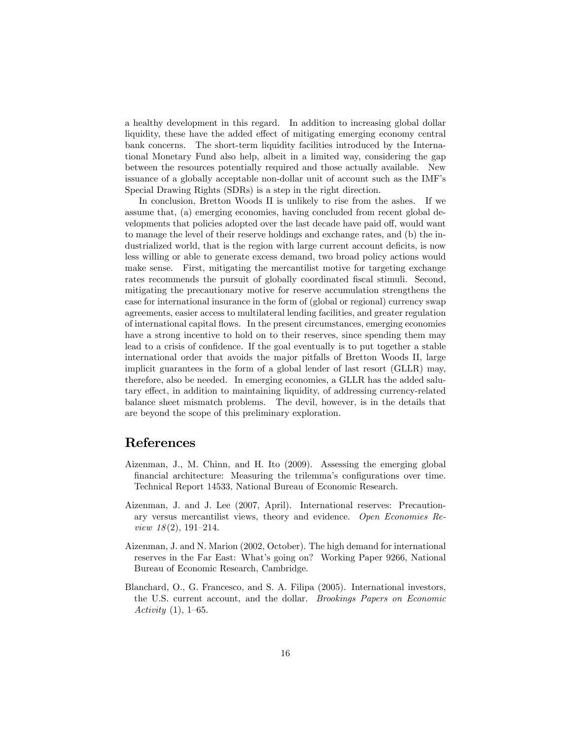a healthy development in this regard. In addition to increasing global dollar liquidity, these have the added effect of mitigating emerging economy central bank concerns. The short-term liquidity facilities introduced by the International Monetary Fund also help, albeit in a limited way, considering the gap between the resources potentially required and those actually available. New issuance of a globally acceptable non-dollar unit of account such as the IMF's Special Drawing Rights (SDRs) is a step in the right direction.

In conclusion, Bretton Woods II is unlikely to rise from the ashes. If we assume that, (a) emerging economies, having concluded from recent global developments that policies adopted over the last decade have paid off, would want to manage the level of their reserve holdings and exchange rates, and (b) the industrialized world, that is the region with large current account deficits, is now less willing or able to generate excess demand, two broad policy actions would make sense. First, mitigating the mercantilist motive for targeting exchange rates recommends the pursuit of globally coordinated fiscal stimuli. Second, mitigating the precautionary motive for reserve accumulation strengthens the case for international insurance in the form of (global or regional) currency swap agreements, easier access to multilateral lending facilities, and greater regulation of international capital áows. In the present circumstances, emerging economies have a strong incentive to hold on to their reserves, since spending them may lead to a crisis of confidence. If the goal eventually is to put together a stable international order that avoids the major pitfalls of Bretton Woods II, large implicit guarantees in the form of a global lender of last resort (GLLR) may, therefore, also be needed. In emerging economies, a GLLR has the added salutary effect, in addition to maintaining liquidity, of addressing currency-related balance sheet mismatch problems. The devil, however, is in the details that are beyond the scope of this preliminary exploration.

#### References

- Aizenman, J., M. Chinn, and H. Ito (2009). Assessing the emerging global financial architecture: Measuring the trilemma's configurations over time. Technical Report 14533, National Bureau of Economic Research.
- Aizenman, J. and J. Lee (2007, April). International reserves: Precautionary versus mercantilist views, theory and evidence. Open Economies Review  $18(2)$ , 191-214.
- Aizenman, J. and N. Marion (2002, October). The high demand for international reserves in the Far East: What's going on? Working Paper 9266, National Bureau of Economic Research, Cambridge.
- Blanchard, O., G. Francesco, and S. A. Filipa (2005). International investors, the U.S. current account, and the dollar. Brookings Papers on Economic Activity  $(1)$ , 1–65.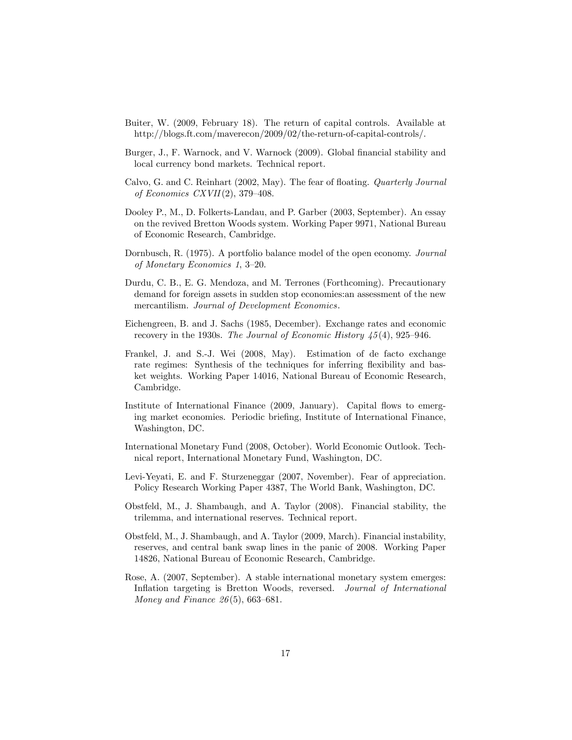- Buiter, W. (2009, February 18). The return of capital controls. Available at http://blogs.ft.com/maverecon/2009/02/the-return-of-capital-controls/.
- Burger, J., F. Warnock, and V. Warnock (2009). Global financial stability and local currency bond markets. Technical report.
- Calvo, G. and C. Reinhart (2002, May). The fear of floating. *Quarterly Journal* of Economics CXVII $(2)$ , 379-408.
- Dooley P., M., D. Folkerts-Landau, and P. Garber (2003, September). An essay on the revived Bretton Woods system. Working Paper 9971, National Bureau of Economic Research, Cambridge.
- Dornbusch, R. (1975). A portfolio balance model of the open economy. Journal of Monetary Economics 1,  $3-20$ .
- Durdu, C. B., E. G. Mendoza, and M. Terrones (Forthcoming). Precautionary demand for foreign assets in sudden stop economies:an assessment of the new mercantilism. Journal of Development Economics.
- Eichengreen, B. and J. Sachs (1985, December). Exchange rates and economic recovery in the 1930s. The Journal of Economic History  $\frac{45(4)}{925-946}$ .
- Frankel, J. and S.-J. Wei (2008, May). Estimation of de facto exchange rate regimes: Synthesis of the techniques for inferring flexibility and basket weights. Working Paper 14016, National Bureau of Economic Research, Cambridge.
- Institute of International Finance (2009, January). Capital flows to emerging market economies. Periodic briefing, Institute of International Finance, Washington, DC.
- International Monetary Fund (2008, October). World Economic Outlook. Technical report, International Monetary Fund, Washington, DC.
- Levi-Yeyati, E. and F. Sturzeneggar (2007, November). Fear of appreciation. Policy Research Working Paper 4387, The World Bank, Washington, DC.
- Obstfeld, M., J. Shambaugh, and A. Taylor (2008). Financial stability, the trilemma, and international reserves. Technical report.
- Obstfeld, M., J. Shambaugh, and A. Taylor (2009, March). Financial instability, reserves, and central bank swap lines in the panic of 2008. Working Paper 14826, National Bureau of Economic Research, Cambridge.
- Rose, A. (2007, September). A stable international monetary system emerges: Inflation targeting is Bretton Woods, reversed. Journal of International Money and Finance  $26(5)$ , 663–681.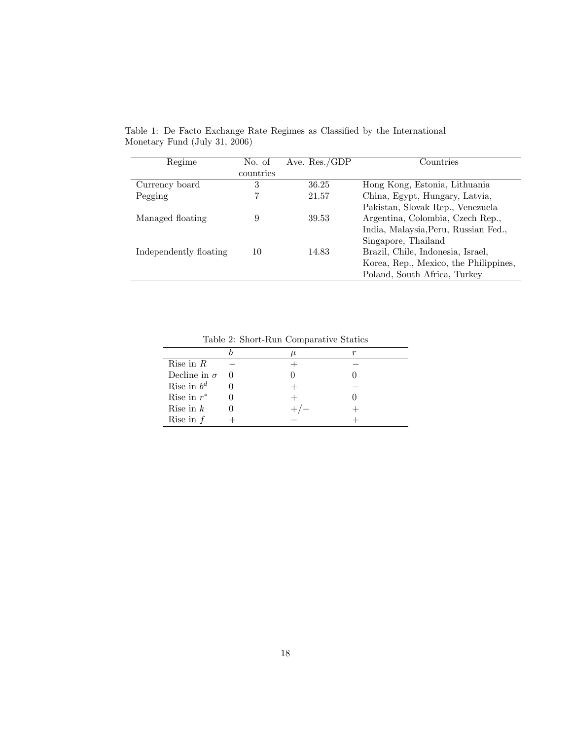| Regime                 | No. of    | Ave. $Res./GDP$ | Countries                             |  |
|------------------------|-----------|-----------------|---------------------------------------|--|
|                        | countries |                 |                                       |  |
| Currency board         | 3         | 36.25           | Hong Kong, Estonia, Lithuania         |  |
| Pegging                |           | 21.57           | China, Egypt, Hungary, Latvia,        |  |
|                        |           |                 | Pakistan, Slovak Rep., Venezuela      |  |
| Managed floating       | 9         | 39.53           | Argentina, Colombia, Czech Rep.,      |  |
|                        |           |                 | India, Malaysia, Peru, Russian Fed.,  |  |
|                        |           |                 | Singapore, Thailand                   |  |
| Independently floating | 10        | 14.83           | Brazil, Chile, Indonesia, Israel,     |  |
|                        |           |                 | Korea, Rep., Mexico, the Philippines, |  |
|                        |           |                 | Poland, South Africa, Turkey          |  |
|                        |           |                 |                                       |  |

Table 1: De Facto Exchange Rate Regimes as Classified by the International Monetary Fund (July 31, 2006)

Table 2: Short-Run Comparative Statics

| rapid 2. phore real comparative beautor |  |   |  |  |  |
|-----------------------------------------|--|---|--|--|--|
|                                         |  | u |  |  |  |
| Rise in $R$                             |  |   |  |  |  |
| Decline in $\sigma$                     |  |   |  |  |  |
| Rise in $b^d$                           |  |   |  |  |  |
| Rise in $r^*$                           |  |   |  |  |  |
| Rise in $k$                             |  |   |  |  |  |
| Rise in $f$                             |  |   |  |  |  |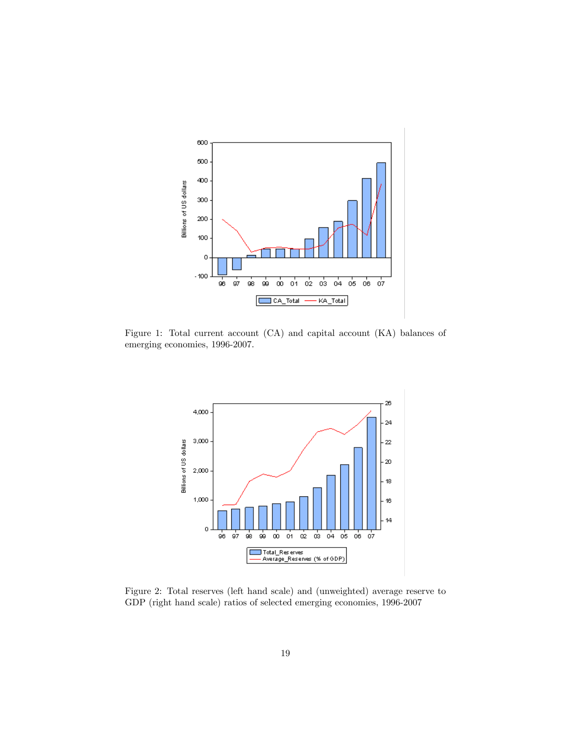

Figure 1: Total current account (CA) and capital account (KA) balances of emerging economies, 1996-2007.



Figure 2: Total reserves (left hand scale) and (unweighted) average reserve to GDP (right hand scale) ratios of selected emerging economies, 1996-2007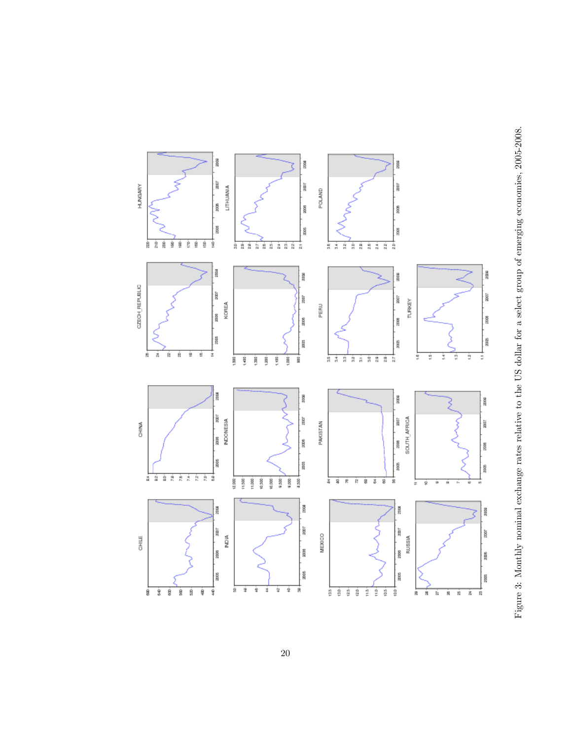

Figure 3: Monthly nominal exchange rates relative to the US dollar for a select group of emerging economies, 2005-2008. Figure 3: Monthly nominal exchange rates relative to the US dollar for a select group of emerging economies, 2005-2008.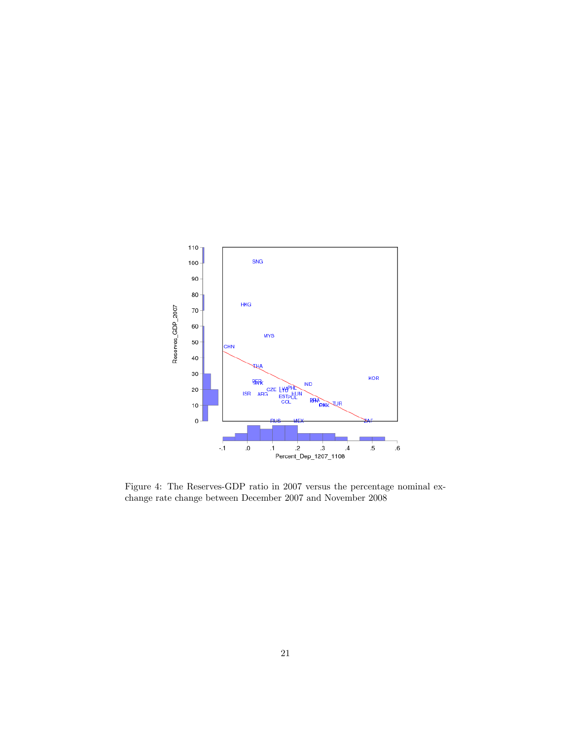

Figure 4: The Reserves-GDP ratio in 2007 versus the percentage nominal exchange rate change between December 2007 and November 2008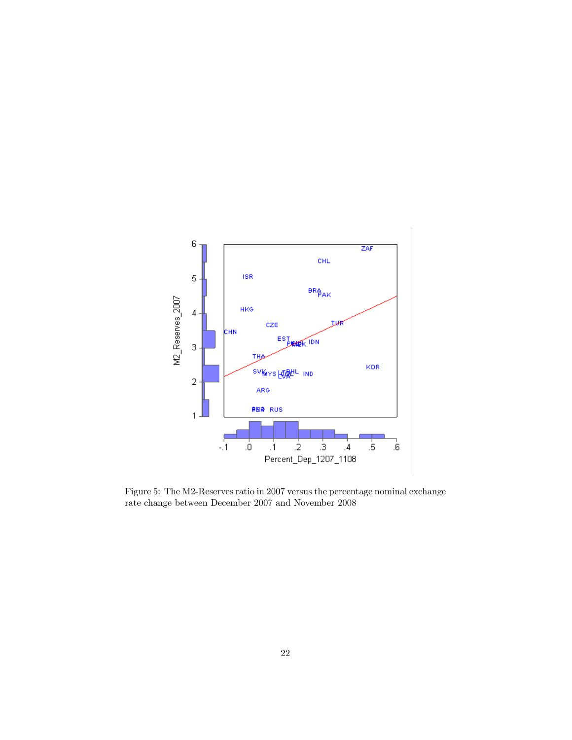

Figure 5: The M2-Reserves ratio in 2007 versus the percentage nominal exchange rate change between December 2007 and November 2008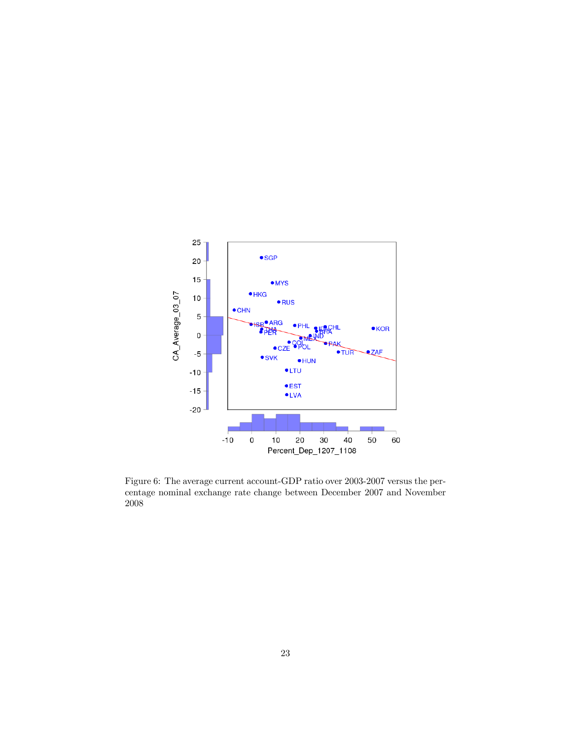

Figure 6: The average current account-GDP ratio over 2003-2007 versus the percentage nominal exchange rate change between December 2007 and November 2008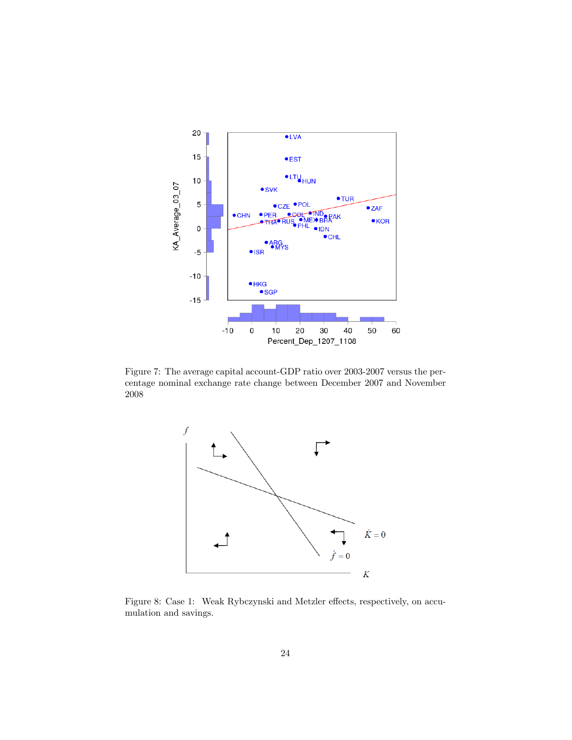

Figure 7: The average capital account-GDP ratio over 2003-2007 versus the percentage nominal exchange rate change between December 2007 and November 2008



Figure 8: Case 1: Weak Rybczynski and Metzler effects, respectively, on accumulation and savings.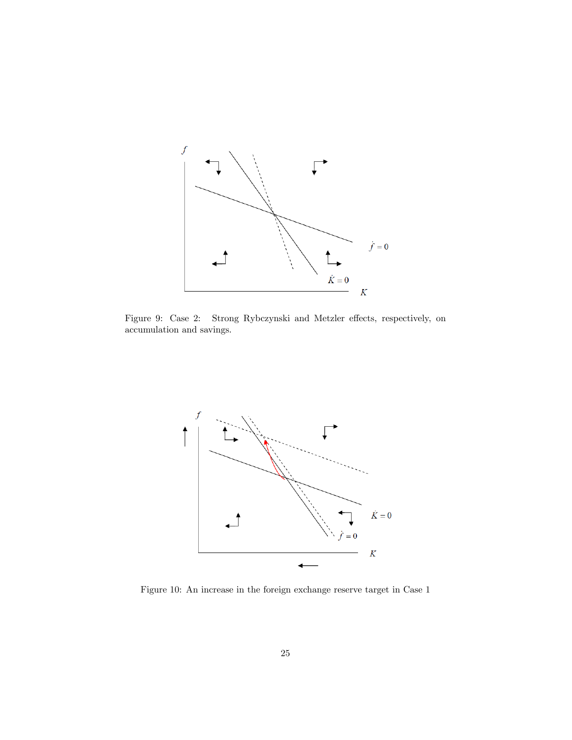

Figure 9: Case 2: Strong Rybczynski and Metzler effects, respectively, on accumulation and savings.



Figure 10: An increase in the foreign exchange reserve target in Case 1